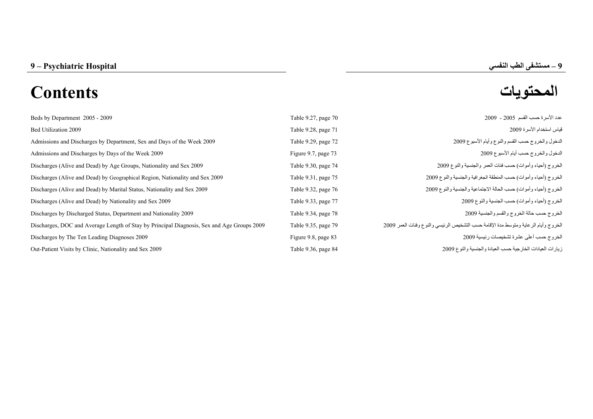# **المحتويات Contents**

| Table 9.27, page 70 | عدد الأسرة حسب القسم 2005 - 2009                                                    |
|---------------------|-------------------------------------------------------------------------------------|
| Table 9.28, page 71 | قياس استخدام الأسرة 2009                                                            |
| Table 9.29, page 72 | الدخول والخروج حسب القسم والنوع وأيام الأسبوع 2009                                  |
| Figure 9.7, page 73 | الدخول والخروج حسب أيام الأسبوع 2009                                                |
| Table 9.30, page 74 | الخروج (أحياء وأموات) حسب فئات العمر والجنسية والنوع 2009                           |
| Table 9.31, page 75 | الخروج (أحياء وأموات) حسب المنطقة الجغرافية والجنسية والنوع 2009                    |
| Table 9.32, page 76 | الخروج (أحياء وأموات) حسب الحالة الاجتماعية والجنسية والنوع 2009                    |
| Table 9.33, page 77 | الخروج (أحياء وأموات) حسب الجنسية والنوع 2009                                       |
| Table 9.34, page 78 | الخروج حسب حالة الخروج والقسم والجنسية 2009                                         |
| Table 9.35, page 79 | الخروج وأيام الرعاية ومتوسط مدة الإقامة حسب التشخيص الرئيسي والنوع وفئات العمر 2009 |
| Figure 9.8, page 83 | الخروج حسب أعلى عشرة تشخيصات رئيسية 2009                                            |
| Table 9.36, page 84 | زيارات العيادات الخارجية حسب العيادة والجنسية والنوع 2009                           |
|                     |                                                                                     |

**–**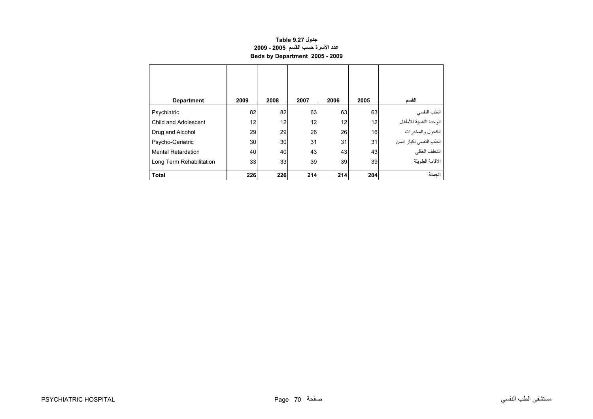## **جدول 9.27 Table عدد الأسرة حسب القسم 2005 - 2009 Beds by Department 2005 - 2009**

<span id="page-1-0"></span>

| <b>Department</b>         | 2009 | 2008            | 2007 | 2006 | 2005 | القسم                  |
|---------------------------|------|-----------------|------|------|------|------------------------|
| Psychiatric               | 82   | 82              | 63   | 63   | 63   | الطب النفسي            |
| Child and Adolescent      | 12   | 12              | 12   | 12   | 12   | الوحدة النفسية للأطفال |
| Drug and Alcohol          | 29   | 29              | 26   | 26   | 16   | الكحول والمخدرات       |
| Psycho-Geriatric          | 30   | 30              | 31   | 31   | 31   | الطب النفسي لكبار السن |
| <b>Mental Retardation</b> | 40   | 40              | 43   | 43   | 43   | التخلف العقلي          |
| Long Term Rehabilitation  | 33   | 33 <sup>1</sup> | 39   | 39   | 39   | الاقامة الطويلة        |
| <b>Total</b>              | 226  | 226             | 214  | 214  | 204  | الحملة                 |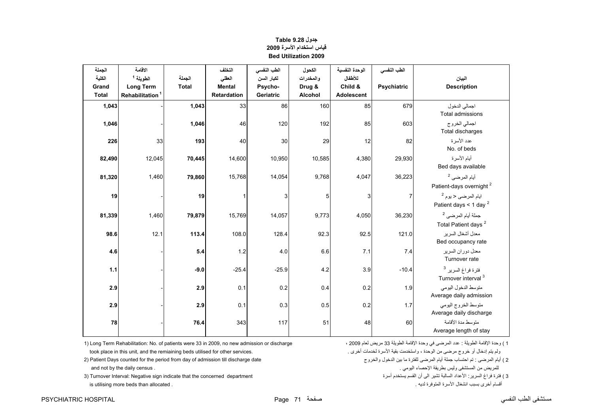<span id="page-2-0"></span>

| الجملة<br>الكلية<br>Grand<br><b>Total</b> | الاقامة<br>الطويلة <sup>1</sup><br><b>Long Term</b><br>Rehabilitation <sup>1</sup> | الجملة<br><b>Total</b> | التخلف<br>العقلى<br><b>Mental</b><br>Retardation | الطب النفسي<br>لكبار السن<br>Psycho-<br>Geriatric | الكحول<br>والمخدرات<br>Drug &<br>Alcohol | الوحدة النفسية<br>للأطفال<br>Child &<br>Adolescent | الطب النفسي<br><b>Psychiatric</b> | البيان<br><b>Description</b>                                     |
|-------------------------------------------|------------------------------------------------------------------------------------|------------------------|--------------------------------------------------|---------------------------------------------------|------------------------------------------|----------------------------------------------------|-----------------------------------|------------------------------------------------------------------|
| 1,043                                     |                                                                                    | 1,043                  | 33                                               | 86                                                | 160                                      | 85                                                 | 679                               | اجمالي الدخول<br><b>Total admissions</b>                         |
| 1,046                                     |                                                                                    | 1,046                  | 46                                               | 120                                               | 192                                      | 85                                                 | 603                               | اجمالي الخروج<br>Total discharges                                |
| 226                                       | 33                                                                                 | 193                    | 40                                               | 30                                                | 29                                       | 12                                                 | 82                                | عدد الأسر ة<br>No. of beds                                       |
| 82,490                                    | 12,045                                                                             | 70,445                 | 14,600                                           | 10,950                                            | 10,585                                   | 4,380                                              | 29,930                            | أيام الأسرة<br>Bed days available                                |
| 81,320                                    | 1,460                                                                              | 79,860                 | 15,768                                           | 14,054                                            | 9,768                                    | 4,047                                              | 36,223                            | أيام المرضى <sup>2</sup><br>Patient-days overnight <sup>2</sup>  |
| 19                                        |                                                                                    | 19                     | $\mathbf{1}$                                     | 3                                                 | 5                                        | 3                                                  | 7                                 | ايام المرضى < يوم <sup>2</sup><br>Patient days < 1 day $^2$      |
| 81,339                                    | 1,460                                                                              | 79,879                 | 15,769                                           | 14,057                                            | 9,773                                    | 4,050                                              | 36,230                            | جملة أيام المرضى <sup>2</sup><br>Total Patient days <sup>2</sup> |
| 98.6                                      | 12.1                                                                               | 113.4                  | 108.0                                            | 128.4                                             | 92.3                                     | 92.5                                               | 121.0                             | معدل أشغال السر بر<br>Bed occupancy rate                         |
| 4.6                                       |                                                                                    | 5.4                    | 1.2                                              | 4.0                                               | 6.6                                      | 7.1                                                | 7.4                               | معدل دوران السرير<br>Turnover rate                               |
| 1.1                                       |                                                                                    | $-9.0$                 | $-25.4$                                          | $-25.9$                                           | 4.2                                      | 3.9                                                | $-10.4$                           | فترة فراغ السرير <sup>3</sup><br>Turnover interval <sup>3</sup>  |
| 2.9                                       |                                                                                    | 2.9                    | 0.1                                              | 0.2                                               | 0.4                                      | 0.2                                                | 1.9                               | متوسط الدخول اليومي<br>Average daily admission                   |
| 2.9                                       |                                                                                    | 2.9                    | 0.1                                              | 0.3                                               | 0.5                                      | 0.2                                                | 1.7                               | متوسط الخروج اليومي<br>Average daily discharge                   |
| 78                                        |                                                                                    | 76.4                   | 343                                              | 117                                               | 51                                       | 48                                                 | 60                                | متوسط مدة الأقامة<br>Average length of stay                      |

# **جدول 9.28 Table قياس استخدام الأسرة <sup>2009</sup> Bed Utilization 2009**

ولم يتم إدخال أو خروج مرضى من الوحدة ، واستخدمت بقية الأسرة لخدمات أخرى . .

1) لعدة الإقامة الطويلة : عدد المرضى في وحدة الإقامة الطويلة 33 مريض لعام 2009 ، 2009 لعام 2009 لعام 2009 (1 له مريض لعام 2009 لعام 2009 له مريض عام 2009 لعام 2009 لعام 2009 له مريض في المرضى عند : الطويلة 33 مريض لعام 20

2) Patient Days counted for the period from day of admission till discharge date (2) أيام المرضى : تم احتساب جملة أيام المرضى للفترة ما بين الدخول والخروج المرضى الفترة المرضى الفترة المرضى المرضى الفترة المرضى المرضى أيا للمريض من المستشفى وليس بطريقة الإحصاء اليومي . . census daily the by not and

3 ) فترة فراغ السرير : الأعداد السالبة تشير الى أن القسم يستخدم أسرة "Turnover Interval: Negative sign indicate that the concerned department (3 ) فترة فراغ السرير : الأعداد السالبة تشير الى أن القسم يستخدم أسرة<br>أقسام أخ is utilising more beds than allocated .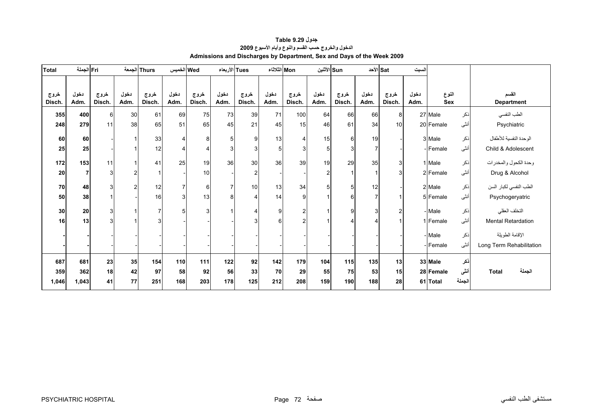<span id="page-3-0"></span>

| <b>Total</b>   | Fri الجملة     |                |              | Thurs الجمعة   | Wed الخميس            |                | Tues الأربعاء  |                | Mon الثلاثاء |                | الأثنين  Sun   |                |              | الأحد  Sat     | السبت        |              |        |                            |
|----------------|----------------|----------------|--------------|----------------|-----------------------|----------------|----------------|----------------|--------------|----------------|----------------|----------------|--------------|----------------|--------------|--------------|--------|----------------------------|
| خروج<br>Disch. | دخول<br>Adm.   | خروج<br>Disch. | دخول<br>Adm. | خروج<br>Disch. | دخول<br>Adm.          | خروج<br>Disch. | دخول<br>Adm.   | خروج<br>Disch. | دخول<br>Adm. | خروج<br>Disch. | دخول<br>Adm.   | خروج<br>Disch. | دخول<br>Adm. | خروج<br>Disch. | دخول<br>Adm. | النوع<br>Sex |        | القسم<br><b>Department</b> |
| 355            | 400            | $6 \mid$       | 30           | 61             | 69                    | 75             | 73             | 39             | 71           | 100            | 64             | 66             | 66           | 8              |              | 27 Male      | ذكر    | الطب النفسي                |
| 248            | 279            | 11             | 38           | 65             | 51                    | 65             | 45             | 21             | 45           | 15             | 46             | 61             | 34           | 10             |              | 20 Female    | أنثى   | Psychiatric                |
| 60             | 60             |                | 1            | 33             | $\boldsymbol{\Delta}$ | 8              | 5              | 9              | 13           | $\overline{4}$ | 15             | $6 \mid$       | 19           |                |              | 3 Male       | ذكر    | الوحدة النفسية للأطفال     |
| 25             | 25             |                | 1            | 12             |                       | $\overline{4}$ | 3              | 3              | 5            | 3              | 5              | 3              | 7            |                |              | -Female      | أنثى   | Child & Adolescent         |
| 172            | 153            | 11             | $\mathbf 1$  | 41             | 25                    | 19             | 36             | 30             | 36           | 39             | 19             | 29             | 35           | $\overline{3}$ |              | 1 Male       | ذكر    | وحدة الكحول والمخدرات      |
| 20             | $\overline{7}$ | $\overline{3}$ | 2            |                |                       | 10             |                | 2              |              |                | $\overline{c}$ |                |              |                |              | 2 Female     | أنثى   | Drug & Alcohol             |
| 70             | 48             | 3              | 2            | 12             |                       | 6              | $\overline{7}$ | 10             | 13           | 34             | 5              | 5              | 12           |                |              | 2 Male       | ذكر    | الطب النفسي لكبار السن     |
| 50             | 38             |                |              | 16             | 3                     | 13             | 8              |                | 14           | 9              |                | 6              | 7            |                |              | 5 Female     | أنثى   | Psychogeryatric            |
| 30             | 20             | 3 <sup>l</sup> | 1            | $\overline{7}$ | 5                     | 3              |                | 4              | 9            | $\overline{2}$ |                | 9              | 3            | $\overline{2}$ |              | - Male       | ذكر    | التخلف العقلي              |
| 16             | 13             | $\overline{3}$ |              | 3              |                       |                |                | 3              | 6            | $\overline{c}$ |                |                |              |                |              | 1 Female     | أنثى   | Mental Retardation         |
|                |                |                |              |                |                       |                |                |                |              |                |                |                |              |                |              | - Male       | ذكر    | الإقامة الطويلة            |
|                |                |                |              |                |                       |                |                |                |              |                |                |                |              |                |              | -Female      | أنثى   | Long Term Rehabilitation   |
| 687            | 681            | 23             | 35           | 154            | 110                   | 111            | 122            | 92             | 142          | 179            | 104            | 115            | 135          | 13             |              | 33 Male      | نكر    |                            |
| 359            | 362            | 18             | 42           | 97             | 58                    | 92             | 56             | 33             | <b>70</b>    | 29             | 55             | 75             | 53           | 15             |              | 28 Female    | أننى   | الجملة<br><b>Total</b>     |
| 1,046          | 1,043          | 41             | 77           | 251            | 168                   | 203            | 178            | 125            | 212          | 208            | 159            | 190            | 188          | 28             |              | 61 Total     | الجملة |                            |

#### **جدول 9.29 Table الدخول والخروج حسب القسم والنوع وأيام الأسبوع<sup>2009</sup> Admissions and Discharges by Department, Sex and Days of the Week 2009**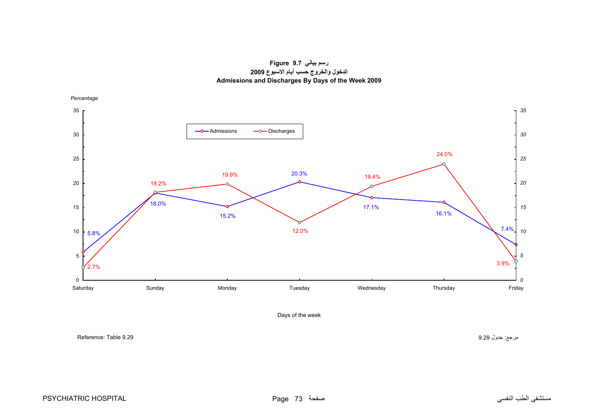**رسم بياني 9.7 Figure الدخول والخروج حسب أيام الاسبوع <sup>2009</sup> Admissions and Discharges By Days of the Week 2009**

<span id="page-4-0"></span>

Days of the week

مرجع: جدول 9.29 9.29 Table :Reference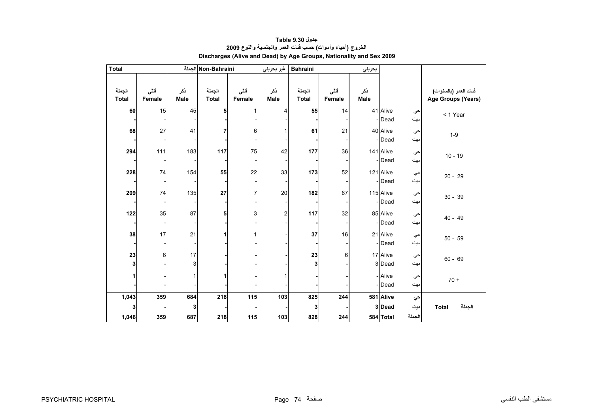<span id="page-5-0"></span>

| <b>Total</b>           |                |                    | Non-Bahraini الجملة    |                | غير بحرين <i>ي</i> | <b>Bahraini</b>        |                | بحريني      |                     |           |                                             |
|------------------------|----------------|--------------------|------------------------|----------------|--------------------|------------------------|----------------|-------------|---------------------|-----------|---------------------------------------------|
| الجملة<br><b>Total</b> | أننى<br>Female | ذكر<br><b>Male</b> | الجملة<br><b>Total</b> | أنشى<br>Female | ذكر<br>Male        | الجملة<br><b>Total</b> | أنثى<br>Female | ذكر<br>Male |                     |           | فنات العمر (بالسنوات)<br>Age Groups (Years) |
| 60                     | 15             | 45                 | 5                      |                | 4                  | 55                     | 14             |             | 41 Alive<br>- Dead  | حي<br>ميت | < 1 Year                                    |
| 68                     | 27             | 41                 | 7                      | 6              |                    | 61                     | 21             |             | 40 Alive<br>-Dead   | حي<br>ميت | $1-9$                                       |
| 294                    | 111            | 183                | 117                    | 75             | 42                 | 177                    | 36             |             | 141 Alive<br>-Dead  | حي<br>میت | $10 - 19$                                   |
| 228                    | 74             | 154                | 55                     | 22             | 33                 | 173                    | 52             |             | 121 Alive<br>- Dead | حي<br>ميت | $20 - 29$                                   |
| 209                    | 74             | 135                | 27                     | 7              | 20                 | 182                    | 67             |             | 115 Alive<br>- Dead | حي<br>ميت | $30 - 39$                                   |
| 122                    | 35             | 87                 | 5                      | 3              | $\boldsymbol{2}$   | 117                    | 32             |             | 85 Alive<br>- Dead  | حي<br>میت | $40 - 49$                                   |
| 38                     | 17             | 21                 | 1                      |                |                    | 37                     | 16             |             | 21 Alive<br>-Dead   | حي<br>ميت | $50 - 59$                                   |
| 23<br>3                | 6              | 17<br>3            |                        |                |                    | 23<br>3                | 6              |             | 17 Alive<br>3 Dead  | حي<br>ميت | $60 - 69$                                   |
|                        |                | 1                  | 1                      |                |                    |                        |                |             | - Alive<br>- Dead   | حي<br>ميت | $70 +$                                      |
| 1,043<br>3             | 359            | 684<br>3           | 218                    | 115            | 103                | 825<br>3               | 244            |             | 581 Alive<br>3 Dead | حي<br>ميت | الجملة<br><b>Total</b>                      |
| 1,046                  | 359            | 687                | 218                    | 115            | 103                | 828                    | 244            |             | 584 Total           | الجملة    |                                             |

## **جدول 9.30 Table الخروج (أحياء وأموات) حسب فئات العمر والجنسية والنوع <sup>2009</sup> Discharges (Alive and Dead) by Age Groups, Nationality and Sex 2009**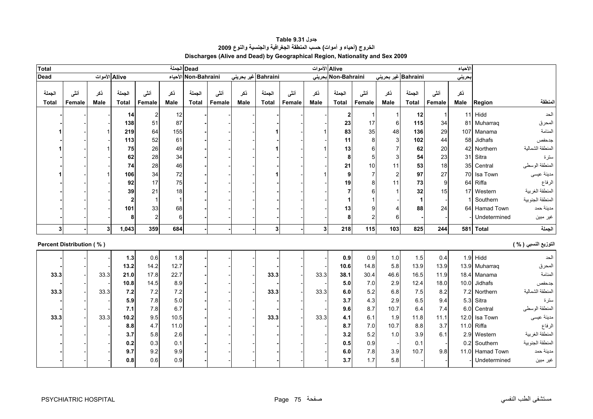<span id="page-6-0"></span>

| <b>Total</b>                    |                |               |                        |                 |             | Dead الجملة            |                |             |                        |                | Alive الأموات |                        |                |                     |                        |                | الأحياء     |                 |                      |
|---------------------------------|----------------|---------------|------------------------|-----------------|-------------|------------------------|----------------|-------------|------------------------|----------------|---------------|------------------------|----------------|---------------------|------------------------|----------------|-------------|-----------------|----------------------|
| <b>Dead</b>                     |                | Alive الأموات |                        |                 |             | الأحياء Non-Bahraini   |                |             | Bahraini غیر بحرینی    |                |               | Non-Bahraini بحرينى    |                | Bahraini غير بحريني |                        |                | حريني       |                 |                      |
| الجملة<br><b>Total</b>          | أنشى<br>Female | نكر<br>Male   | الجملة<br><b>Total</b> | أننسى<br>Female | ذكر<br>Male | الجملة<br><b>Total</b> | أننى<br>Female | ذكر<br>Male | الجملة<br><b>Total</b> | أنشى<br>Female | نكر<br>Male   | الجملة<br><b>Total</b> | أننى<br>Female | نكر<br><b>Male</b>  | الجملة<br><b>Total</b> | أننى<br>Female | نكر<br>Male | Region          | المنطقة              |
|                                 |                |               | 14                     | 2               | 12          |                        |                |             |                        |                |               | 2                      |                |                     | 12                     |                |             | 11 Hidd         | الحد                 |
|                                 |                |               | 138                    | 51              | 87          |                        |                |             |                        |                |               | 23                     | 17             | 6                   | 115                    | 34             |             | 81 Muharraq     | المحرق               |
|                                 |                |               | 219                    | 64              | 155         |                        |                |             |                        |                |               | 83                     | 35             | 48                  | 136                    | 29             |             | 107 Manama      | المنامة              |
|                                 |                |               | 113                    | 52              | 61          |                        |                |             |                        |                |               | 11                     | 8              | 3                   | 102                    | 44             | 58          | Jidhafs         | جدحفص                |
|                                 |                |               | 75                     | 26              | 49          |                        |                |             |                        |                |               | 13                     | 6              |                     | 62                     | 20             |             | 42 Northern     | المنطقة الشمالية     |
|                                 |                |               | 62                     | 28              | 34          |                        |                |             |                        |                |               | 8                      | 5              | 3                   | 54                     | 23             |             | 31 Sitra        | سترة                 |
|                                 |                |               | 74                     | 28              | 46          |                        |                |             |                        |                |               | 21                     | 10             | 11                  | 53                     | 18             |             | 35 Central      | المنطقة الوسطى       |
|                                 |                |               | 106                    | 34              | 72          |                        |                |             |                        |                |               | 9                      |                | $\overline{c}$      | 97                     | 27             |             | 70 Isa Town     | مدينة عيسى           |
|                                 |                |               | 92                     | 17              | 75          |                        |                |             |                        |                |               | 19                     | 8              | 11                  | 73                     | 9              |             | 64 Riffa        | الرفاع               |
|                                 |                |               | 39                     | 21              | 18          |                        |                |             |                        |                |               |                        |                |                     | 32                     | 15             |             | 17 Western      | المنطقة الغربية      |
|                                 |                |               |                        |                 |             |                        |                |             |                        |                |               |                        |                |                     |                        |                |             | Southern        | المنطقة الجنوبية     |
|                                 |                |               | 101                    | 33              | 68          |                        |                |             |                        |                |               | 13                     | 9              |                     | 88                     | 24             |             | 64 Hamad Town   | مدينة حمد            |
|                                 |                |               | 8                      |                 | 6           |                        |                |             |                        |                |               | 8                      |                |                     |                        |                |             | Undetermined    | غير مبين             |
| 3                               |                | 3             | 1,043                  | 359             | 684         |                        |                |             | $\mathbf{3}$           |                | 3             | 218                    | 115            | 103                 | 825                    | 244            |             | 581 Total       | الجملة               |
| <b>Percent Distribution (%)</b> |                |               |                        |                 |             |                        |                |             |                        |                |               |                        |                |                     |                        |                |             |                 | التوزيع النسبي ( % ) |
|                                 |                |               | $1.3$                  | 0.6             | 1.8         |                        |                |             |                        |                |               | 0.9                    | 0.9            | 1.0                 | 1.5                    | 0.4            |             | $1.9$ Hidd      | الحد                 |
|                                 |                |               | 13.2                   | 14.2            | 12.7        |                        |                |             |                        |                |               | 10.6                   | 14.8           | 5.8                 | 13.9                   | 13.9           |             | 13.9 Muharraq   | المحرق               |
| 33.3                            |                | 33.3          | 21.0                   | 17.8            | 22.7        |                        |                |             | 33.3                   |                | 33.3          | 38.1                   | 30.4           | 46.6                | 16.5                   | 11.9           |             | 18.4 Manama     | المنامة              |
|                                 |                |               | 10.8                   | 14.5            | 8.9         |                        |                |             |                        |                |               | 5.0                    | 7.0            | 2.9                 | 12.4                   | 18.0           |             | 10.0 Jidhafs    | جدحفص                |
| 33.3                            |                | 33.3          | $7.2$                  | 7.2             | 7.2         |                        |                |             | 33.3                   |                | 33.3          | 6.0                    | 5.2            | 6.8                 | 7.5                    | 8.2            |             | 7.2 Northern    | المنطقة الشمالية     |
|                                 |                |               | 5.9                    | 7.8             | 5.0         |                        |                |             |                        |                |               | 3.7                    | 4.3            | 2.9                 | 6.5                    | 9.4            | 5.3         | Sitra           | سترة                 |
|                                 |                |               | 7.1                    | 7.8             | 6.7         |                        |                |             |                        |                |               | 9.6                    | 8.7            | 10.7                | 6.4                    | 7.4            | 6.0         | Central         | المنطقة الوسطى       |
| 33.3                            |                | 33.3          | 10.2                   | 9.5             | 10.5        |                        |                |             | 33.3                   |                | 33.3          | 4.1                    | 6.1            | 1.9                 | 11.8                   | 11.1           | 12.0        | Isa Town        | مدينة عيسى           |
|                                 |                |               | 8.8                    | 4.7             | 11.0        |                        |                |             |                        |                |               | 8.7                    | 7.0            | 10.7                | 8.8                    | 3.7            |             | 11.0 Riffa      | الرفاع               |
|                                 |                |               | 3.7                    | 5.8             | 2.6         |                        |                |             |                        |                |               | 3.2                    | 5.2            | 1.0                 | 3.9                    | 6.1            |             | 2.9 Western     | المنطقة الغربية      |
|                                 |                |               | 0.2                    | 0.3             | 0.1         |                        |                |             |                        |                |               | 0.5                    | 0.9            |                     | 0.1                    |                |             | 0.2 Southern    | المنطقة الجنوبية     |
|                                 |                |               | 9.7                    | 9.2             | 9.9         |                        |                |             |                        |                |               | $6.0\,$                | 7.8            | 3.9                 | 10.7                   | 9.8            |             | 11.0 Hamad Town | مدينة حمد            |
|                                 |                |               | 0.8                    | 0.6             | 0.9         |                        |                |             |                        |                |               | 3.7                    | 1.7            | 5.8                 |                        |                |             | Undetermined    | غير مبين             |

**جدول 9.31 Table الخروج (أحياء <sup>و</sup> أموات) حسب المنطقة الجغرافية والجنسية والنوع <sup>2009</sup> Discharges (Alive and Dead) by Geographical Region, Nationality and Sex 2009**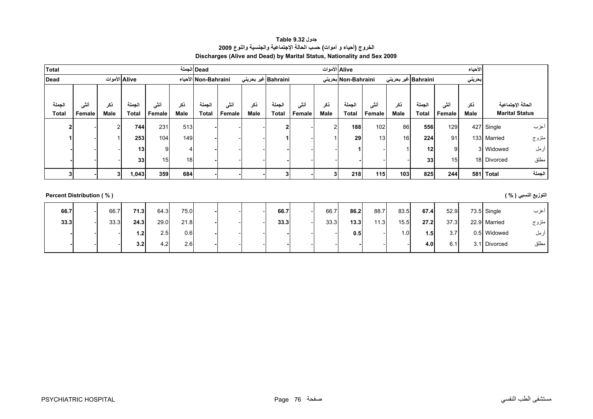**جدول 9.32 Table الخروج (أحياء <sup>و</sup> أموات) حسب الحالة الإجتماعية والجنسية والنوع <sup>2009</sup> Discharges (Alive and Dead) by Marital Status, Nationality and Sex 2009** 

<span id="page-7-0"></span>

| Total                    |        |               |        |        |      | Dead الجملة          |        |      |                         |        | Alive الأموات |                     |                 |                             |              |        | الأحياء |                       |        |
|--------------------------|--------|---------------|--------|--------|------|----------------------|--------|------|-------------------------|--------|---------------|---------------------|-----------------|-----------------------------|--------------|--------|---------|-----------------------|--------|
| Dead                     |        | Alive الأموات |        |        |      | الأحياء Non-Bahraini |        |      | Bahraini غير بحريني     |        |               | Non-Bahraini بحرينى |                 | Bahraini غير بحرين <i>ي</i> |              |        | بحريني  |                       |        |
|                          |        |               |        |        |      |                      |        |      |                         |        |               |                     |                 |                             |              |        |         |                       |        |
| الجملة                   | أننى   | نكر           | الجملة | أنشى   | ذكر  | الجملة               | أنشى   | ذكر  | الجملة                  | أننسى  | ذكر           | الجملة              | أنشى            | نكر                         | الجملة       | أنشى   | ذكر     | الحالة الإجتماعية     |        |
| <b>Total</b>             | Female | Male          | Total  | Female | Male | <b>Total</b>         | Female | Male | <b>Total</b>            | Female | Male          | Total               | Female          | Male                        | <b>Total</b> | Female | Male    | <b>Marital Status</b> |        |
| $\mathbf{2}$             |        | c             | 744    | 231    | 513  |                      |        |      | $\overline{\mathbf{c}}$ |        | $\Omega$      | 188                 | 102             | 86                          | 556          | 129    |         | 427 Single            | أعزب   |
|                          |        |               | 253    | 104    | 149  |                      |        |      |                         |        |               | 29                  | 13 <sup>1</sup> | 16 <sup>1</sup>             | 224          | 91     |         | 133 Married           | متزوج  |
|                          |        |               | 13     | 9      |      |                      |        |      |                         |        |               |                     |                 |                             | 12           | 9      |         | 3 Widowed             | أرمل   |
|                          |        |               | 33     | 15     | 18   |                      |        |      |                         |        |               |                     |                 |                             | 33           | 15     |         | 18 Divorced           | مطلق   |
| 3                        |        | 3             | 1,043  | 359    | 684  |                      |        |      | 3                       |        | 2             | 218                 | 115             | 103                         | 825          | 244    | 581     | <b>Total</b>          | الجملة |
|                          |        |               |        |        |      |                      |        |      |                         |        |               |                     |                 |                             |              |        |         |                       |        |
| Percent Distribution (%) |        |               |        |        |      |                      |        |      |                         |        |               |                     |                 |                             |              |        |         | التوزيع النسبي ( % )  |        |
| 66.7                     |        | 66.7          | 71.3   | 64.3   | 75.0 |                      |        |      | 66.7                    |        | 66.7          | 86.2                | 88.7            | 83.5                        | 67.4         | 52.9   |         | 73.5 Single           | أعزب   |

| 66.7 | 66.7 | 71.3 | 64.3 | 75.0 |  | 66.7 | 66.7 | 86.2             | 88.7 | 83.5 | 67.4             | 52.9 | 73.5 Single  | اعزب  |
|------|------|------|------|------|--|------|------|------------------|------|------|------------------|------|--------------|-------|
| 33.3 | 33.3 | 24.3 | 29.0 | 21.8 |  | 33.3 | 33.3 | 13.3             | 11.3 | 15.5 | 27.2             | 37.3 | 22.9 Married | متزوج |
|      |      | 1.2  | 2.5  | 0.6  |  |      |      | 0.5 <sub>1</sub> |      | 1.0  | 1.5              | 3.7  | 0.5 Widowed  | ارمل  |
|      |      | 3.2  | 4.2  | 2.6  |  |      |      |                  |      |      | 4.0 <sub>1</sub> | 6.1  | 3.1 Divorced | مطلق  |
|      |      |      |      |      |  |      |      |                  |      |      |                  |      |              |       |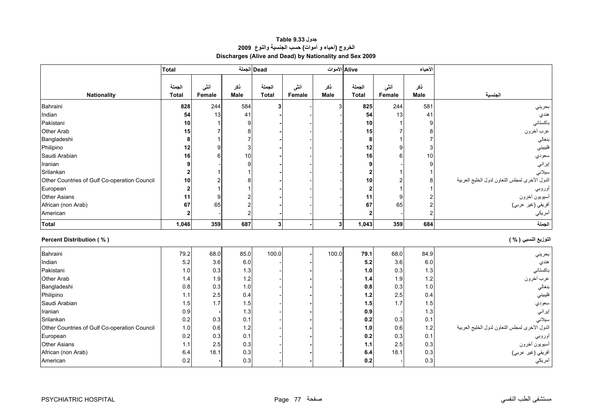# **جدول 9.33 Table الخروج (أحياء <sup>و</sup> أموات) حسب الجنسية والنوع <sup>2009</sup> Discharges (Alive and Dead) by Nationality and Sex 2009**

<span id="page-8-0"></span>

|                                              | <b>Total</b>            |        |                | Dead الجملة  |        | Alive الأموات           |                |                | الأحياء     |                                                |
|----------------------------------------------|-------------------------|--------|----------------|--------------|--------|-------------------------|----------------|----------------|-------------|------------------------------------------------|
|                                              |                         |        |                |              |        |                         |                |                |             |                                                |
|                                              | الجملة                  | أننى   | نكر            | الجملة       | أنشى   | نكر                     | الجملة         | أنثى           | ذكر         |                                                |
| <b>Nationality</b>                           | <b>Total</b>            | Female | <b>Male</b>    | <b>Total</b> | Female | <b>Male</b>             | <b>Total</b>   | Female         | <b>Male</b> | الجنسية                                        |
| Bahraini                                     | 828                     | 244    | 584            | 3            |        | 3                       | 825            | 244            | 581         | بحريني                                         |
| Indian                                       | 54                      | 13     | 41             |              |        |                         | 54             | 13             | 41          | هندي                                           |
| Pakistani                                    | 10                      |        | g              |              |        |                         | 10             |                | 9           | باكستاني                                       |
| Other Arab                                   | 15                      |        | 8              |              |        |                         | 15             |                | 8           | عرب أخرون                                      |
| Bangladeshi                                  | 8                       |        |                |              |        |                         | 8              |                |             | بنغالي                                         |
| Philipino                                    | 12                      | 9      | 3              |              |        |                         | 12             | $\mathbf{Q}$   | 3           | فليبيني                                        |
| Saudi Arabian                                | 16                      | 6      | 10             |              |        |                         | 16             | 6              | 10          | سعودي                                          |
| Iranian                                      | 9                       |        | 9              |              |        |                         | 9              |                | 9           | إيراني                                         |
| Srilankan                                    | $\overline{\mathbf{c}}$ |        |                |              |        |                         | $\overline{2}$ |                |             | سيلانى                                         |
| Other Countries of Gulf Co-operation Council | 10                      |        |                |              |        |                         | 10             | $\overline{2}$ | 8           | الدول الأخرى لمجلس النعاون لدول الخليج العربية |
| European                                     | $\overline{2}$          |        |                |              |        |                         | $\mathbf{2}$   | 1              |             | أوروبي                                         |
| <b>Other Asians</b>                          | 11                      | 9      |                |              |        |                         | 11             | 9              |             | أسيويون أخرون                                  |
| African (non Arab)                           | 67                      | 65     | $\overline{c}$ |              |        |                         | 67             | 65             | 2           | أفريقي (غير عربي)                              |
| American                                     | $\mathbf{2}$            |        | $\overline{c}$ |              |        |                         | $\overline{2}$ |                | 2           | أمريكي                                         |
| Total                                        | 1,046                   | 359    | 687            | $\mathbf{3}$ |        | $\overline{\mathbf{3}}$ | 1,043          | 359            | 684         | الجملة                                         |
| <b>Percent Distribution (%)</b>              |                         |        |                |              |        |                         |                |                |             | التوزيع النسبي ( % )                           |
|                                              |                         |        |                |              |        |                         |                |                |             |                                                |
| Bahraini                                     | 79.2                    | 68.0   | 85.0           | 100.0        |        | 100.0                   | 79.1           | 68.0           | 84.9        | بحريني                                         |
| Indian                                       | 5.2                     | 3.6    | 6.0            |              |        |                         | 5.2            | 3.6            | 6.0         | هندي                                           |
| Pakistani                                    | 1.0                     | 0.3    | 1.3            |              |        |                         | 1.0            | 0.3            | 1.3         | باكستاني                                       |
| <b>Other Arab</b>                            | 1.4                     | 1.9    | 1.2            |              |        |                         | 1.4            | 1.9            | 1.2         | عرب أخرون                                      |
| Bangladeshi                                  | 0.8                     | 0.3    | 1.0            |              |        |                         | 0.8            | 0.3            | 1.0         | بنغالي                                         |
| Philipino                                    | $1.1$                   | 2.5    | 0.4            |              |        |                         | 1.2            | 2.5            | 0.4         | فليبيني                                        |
| Saudi Arabian                                | 1.5                     | 1.7    | 1.5            |              |        |                         | 1.5            | 1.7            | 1.5         | سعودي                                          |
| Iranian                                      | 0.9                     |        | 1.3            |              |        |                         | 0.9            |                | 1.3         | إيراني                                         |
| Srilankan                                    | 0.2                     | 0.3    | 0.1            |              |        |                         | 0.2            | 0.3            | 0.1         | سيلاني                                         |
| Other Countries of Gulf Co-operation Council | 1.0                     | 0.6    | 1.2            |              |        |                         | 1.0            | 0.6            | 1.2         | الدول الأخرى لمجلس النعاون لدول الخليج العربية |
| European                                     | 0.2                     | 0.3    | 0.1            |              |        |                         | 0.2            | 0.3            | 0.1         | أوروبي<br>أسيويون أخرون                        |
| <b>Other Asians</b>                          | 1.1                     | 2.5    | 0.3            |              |        |                         | 1.1            | 2.5            | 0.3         |                                                |
| African (non Arab)                           | 6.4                     | 18.1   | 0.3            |              |        |                         | 6.4            | 18.1           | 0.3         | أفريقي (غير عربي)                              |
| American                                     | 0.2                     |        | 0.3            |              |        |                         | 0.2            |                | 0.3         | أمريكي                                         |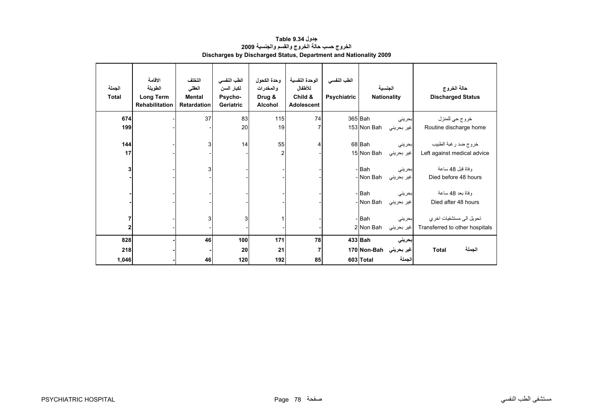<span id="page-9-0"></span>

| الجملة<br><b>Total</b> | الاقامة<br>الطويلة<br>Long Term<br><b>Rehabilitation</b> | التخلف<br>العقلى<br><b>Mental</b><br><b>Retardation</b> | الطب النفسي<br>لكبار السن<br>Psycho-<br><b>Geriatric</b> | وحدة الكحول<br>والمخدرات<br>Drug &<br>Alcohol | الوحدة النفسية<br>للأطفال<br>Child &<br><b>Adolescent</b> | الطب النفسي<br><b>Psychiatric</b> |                    | الجنسية<br><b>Nationality</b> | حالة الخروج<br><b>Discharged Status</b>  |
|------------------------|----------------------------------------------------------|---------------------------------------------------------|----------------------------------------------------------|-----------------------------------------------|-----------------------------------------------------------|-----------------------------------|--------------------|-------------------------------|------------------------------------------|
| 674                    |                                                          | 37                                                      | 83                                                       | 115                                           | 74                                                        |                                   | 365 Bah            | بحريني                        | خروج حي للمنزل                           |
| 199                    |                                                          |                                                         | 20                                                       | 19                                            | $\overline{7}$                                            |                                   | 153 Non Bah        | غير بحريني                    | Routine discharge home                   |
| 144                    |                                                          | 3                                                       | 14                                                       | 55                                            | 4                                                         |                                   | 68 Bah             | بحريني                        | خروج ضد رغبة الطبيب                      |
| 17                     |                                                          |                                                         |                                                          | $\overline{c}$                                |                                                           |                                   | 15 Non Bah         | غير بحريني                    | Left against medical advice              |
| 3                      |                                                          | 3                                                       |                                                          |                                               |                                                           |                                   | - Bah<br>- Non Bah | بحريني<br>غير بحريني          | وفاة قبل 48 ساعة<br>Died before 48 hours |
|                        |                                                          |                                                         |                                                          |                                               |                                                           |                                   | - Bah<br>- Non Bah | بحريني<br>غير بحريني          | وفاة بعد 48 ساعة<br>Died after 48 hours  |
|                        |                                                          |                                                         |                                                          |                                               |                                                           |                                   |                    |                               |                                          |
| 7                      |                                                          | 3                                                       | 3                                                        |                                               |                                                           |                                   | - Bah              | بحريني                        | تحويل الى مستشفيات اخر ي                 |
| 2                      |                                                          |                                                         |                                                          |                                               |                                                           |                                   | 2 Non Bah          | غير بحريني                    | Transferred to other hospitals           |
| 828                    |                                                          | 46                                                      | 100                                                      | 171                                           | 78                                                        |                                   | 433 Bah            | بحريني                        |                                          |
| 218                    |                                                          |                                                         | 20                                                       | 21                                            | 7                                                         |                                   | 170 Non-Bah        | غير بحريني                    | الجملة<br><b>Total</b>                   |
| 1,046                  |                                                          | 46                                                      | 120                                                      | 192                                           | 85                                                        |                                   | 603 Total          | الجملة                        |                                          |

#### **جدول 9.34 Table الخروج حسب حالة الخروج والقسم والجنسية <sup>2009</sup> Discharges by Discharged Status, Department and Nationality 2009**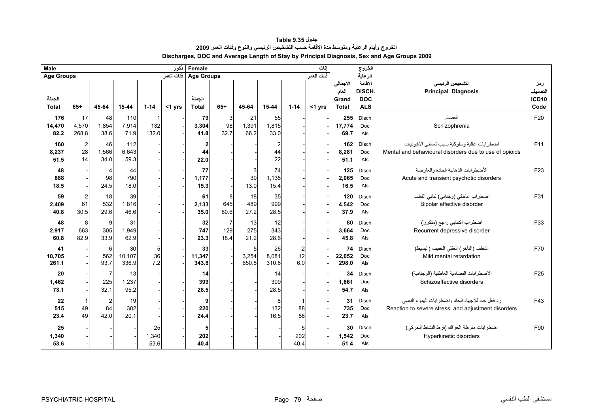<span id="page-10-0"></span>

| Male                   |                                                |                                       |                       |                     | نكور       | Female                 |                  |                     |                      |                                               | اناث       |                                            | الخروج                                        |                                                                                                         |                                             |
|------------------------|------------------------------------------------|---------------------------------------|-----------------------|---------------------|------------|------------------------|------------------|---------------------|----------------------|-----------------------------------------------|------------|--------------------------------------------|-----------------------------------------------|---------------------------------------------------------------------------------------------------------|---------------------------------------------|
| <b>Age Groups</b>      |                                                |                                       |                       |                     | فنات العمر | <b>Age Groups</b>      |                  |                     |                      |                                               | ففات العمر |                                            | الرعاية                                       |                                                                                                         |                                             |
| الجملة<br><b>Total</b> | $65+$                                          | 45-64                                 | 15-44                 | $1 - 14$            | $<$ 1 yrs  | الجملة<br><b>Total</b> | $65+$            | 45-64               | 15-44                | $1 - 14$                                      | <1 yrs     | الأجمالي<br>العام<br>Grand<br><b>Total</b> | الأقامة<br>DISCH.<br><b>DOC</b><br><b>ALS</b> | التشخيص الرئيسي<br><b>Principal Diagnosis</b>                                                           | رمز<br>التصنيف<br>ICD <sub>10</sub><br>Code |
| 176<br>14,470<br>82.2  | 17<br>4,570<br>268.8                           | 48<br>1,854<br>38.6                   | 110<br>7,914<br>71.9  | -1<br>132<br>132.0  |            | 79<br>3,304<br>41.8    | 3<br>98<br>32.7  | 21<br>1,391<br>66.2 | 55<br>1,815<br>33.0  |                                               |            | 255<br>17,774<br>69.7                      | Disch<br><b>Doc</b><br>Als                    | الفصام<br>Schizophrenia                                                                                 | F20                                         |
| 160<br>8,237<br>51.5   | $\begin{array}{c} 2 \\ 28 \end{array}$<br>14   | 46<br>1,566<br>34.0                   | 112<br>6,643<br>59.3  |                     |            | 2<br>44<br>22.0        |                  |                     | 44<br>22             |                                               |            | 162<br>8,281<br>51.1                       | Disch<br>Doc<br>Als                           | اضطر ابات عقلية وسلوكية بسبب تعاطى الأفيونيات<br>Mental and behavioural disorders due to use of opioids | F11                                         |
| 48<br>888<br>18.5      |                                                | $\overline{4}$<br>98<br>24.5          | 44<br>790<br>18.0     |                     |            | 77<br>1,177<br>15.3    |                  | 39<br>13.0          | 74<br>1,138<br>15.4  |                                               |            | 125<br>2,065<br>16.5                       | Disch<br>Doc<br>Als                           | الأضطر ابات الذهانبة الحادة والعار ضة<br>Acute and transient psychotic disorders                        | F <sub>23</sub>                             |
| 59<br>2,409<br>40.8    | $\begin{array}{c} 2 \\ 61 \end{array}$<br>30.5 | 18<br>532<br>29.6                     | 39<br>1.816<br>46.6   |                     |            | 61<br>2,133<br>35.0    | 8<br>645<br>80.6 | 18<br>489<br>27.2   | 35<br>999<br>28.5    |                                               |            | 120<br>4,542<br>37.9                       | Disch<br><b>Doc</b><br>Als                    | اضطراب عاطفي (وجداني) ثنائي القطب<br>Bipolar affective disorder                                         | F31                                         |
| 48<br>2,917<br>60.8    | 8<br>663<br>82.9                               | 9<br>305<br>33.9                      | 31<br>1,949<br>62.9   |                     |            | 32<br>747<br>23.3      | 129<br>18.4      | 13<br>275<br>21.2   | 12<br>343<br>28.6    |                                               |            | 80<br>3,664<br>45.8                        | Disch<br>Doc<br>Als                           | اضطراب اكتئابي راجع (متكرر)<br>Recurrent depressive disorder                                            | F33                                         |
| 41<br>10,705<br>261.1  |                                                | 6<br>562<br>93.7                      | 30<br>10,107<br>336.9 | 5<br>36<br>7.2      |            | 33<br>11,347<br>343.8  |                  | 3,254<br>650.8      | 26<br>8,081<br>310.8 | $\begin{array}{c} 2 \\ 12 \end{array}$<br>6.0 |            | 74<br>22,052<br>298.0                      | Disch<br><b>Doc</b><br>Als                    | التخلف (التأخر ) العقلى الخفيف (البسيط)<br>Mild mental retardation                                      | F70                                         |
| 20<br>1,462<br>73.1    |                                                | $\overline{7}$<br>225<br>32.1         | 13<br>1,237<br>95.2   |                     |            | 14<br>399<br>28.5      |                  |                     | 14<br>399<br>28.5    |                                               |            | 34<br>1,861<br>54.7                        | Disch<br>Doc<br>Als                           | الاضطر ابات الفصامية العاطفية (الوجدانية)<br>Schizoaffective disorders                                  | F <sub>25</sub>                             |
| 22<br>515<br>23.4      | 49<br>49                                       | $\overline{\mathbf{c}}$<br>84<br>42.0 | 19<br>382<br>20.1     |                     |            | 9<br>220<br>24.4       |                  |                     | 8<br>132<br>16.5     | 88<br>88                                      |            | 31<br>735<br>23.7                          | Disch<br>Doc<br>Als                           | رد فعل حاد للإجهاد الحاد واضطرابات الهدوء النفسى<br>Reaction to severe stress, and adjustment disorders | F43                                         |
| 25<br>1,340<br>53.6    |                                                |                                       |                       | 25<br>1,340<br>53.6 |            | 5<br>202<br>40.4       |                  |                     |                      | 5<br>202<br>40.4                              |            | 30<br>1,542<br>51.4                        | Disch<br>Doc<br>Als                           | اضطر ابات مفر طة الحر اك (فر ط النشاط الحر كي)<br>Hyperkinetic disorders                                | F90                                         |

## **جدول 9.35 Table الخروج وأيام الرعاية ومتوسط مدة الإقامة حسب التشخيص الرئيسي والنوع وفئات العمر <sup>2009</sup> Discharges, DOC and Average Length of Stay by Principal Diagnosis, Sex and Age Groups 2009**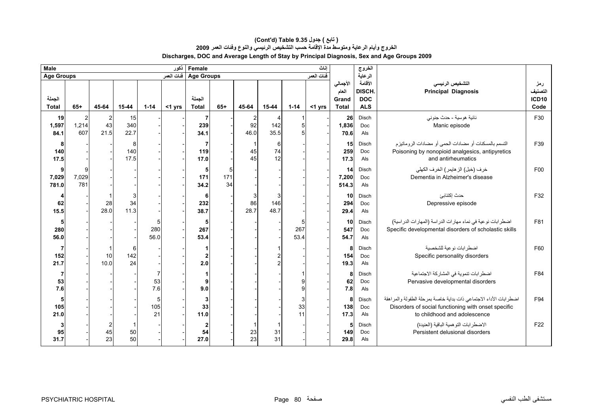#### **(Cont'd) Table 9.35 جدول ) تابع( الخروج وأيام الرعاية ومتوسط مدة الإقامة حسب التشخيص الرئيسي والنوع وفئات العمر <sup>2009</sup> Discharges, DOC and Average Length of Stay by Principal Diagnosis, Sex and Age Groups 2009**

| <b>Male</b>            |                   |                              |                   |                   | نكور       | Female                     |                |                 |                  |                          | اناث       |                                            | الغروج                                        |                                                                                                                                                          |                                        |
|------------------------|-------------------|------------------------------|-------------------|-------------------|------------|----------------------------|----------------|-----------------|------------------|--------------------------|------------|--------------------------------------------|-----------------------------------------------|----------------------------------------------------------------------------------------------------------------------------------------------------------|----------------------------------------|
| <b>Age Groups</b>      |                   |                              |                   |                   | فنات العمر | Age Groups                 |                |                 |                  |                          | فنات العمر |                                            | الرعاية                                       |                                                                                                                                                          |                                        |
| الجملة<br><b>Total</b> | $65+$             | 45-64                        | 15-44             | $1 - 14$          | <1 yrs     | الجملة<br><b>Total</b>     | $65+$          | 45-64           | 15-44            | $1 - 14$                 | <1 yrs     | الأجمالي<br>العام<br>Grand<br><b>Total</b> | الأقامة<br>DISCH.<br><b>DOC</b><br><b>ALS</b> | التشخيص الرئيسي<br><b>Principal Diagnosis</b>                                                                                                            | رمز<br>التصنيف<br><b>ICD10</b><br>Code |
| 19<br>1,597<br>84.1    | 2<br>1,214<br>607 | $\overline{2}$<br>43<br>21.5 | 15<br>340<br>22.7 |                   |            | 7<br>239<br>34.1           |                | 2<br>92<br>46.0 | 4<br>142<br>35.5 | 1<br>5 <sup>5</sup><br>5 |            | 26<br>1,836<br>70.6                        | Disch<br>Doc<br>Als                           | نائية هوسية - حدث جنوني<br>Manic episode                                                                                                                 | F30                                    |
| 8<br>140<br>17.5       |                   |                              | 8<br>140<br>17.5  |                   |            | 7<br>119<br>17.0           |                | 45<br>45        | 6<br>74<br>12    |                          |            | 15<br>259<br>17.3                          | Disch<br><b>Doc</b><br>Als                    | التسمم بالمسكنات أو مضادات الحمى أو مضادات الروماتيزم<br>Poisoning by nonopioid analgesics, antipyretics<br>and antirheumatics                           | F39                                    |
| 9<br>7,029<br>781.0    | 7,029<br>781      |                              |                   |                   |            | 5<br>171<br>34.2           | 5<br>171<br>34 |                 |                  |                          |            | 14<br>7,200<br>514.3                       | Disch<br><b>Doc</b><br>Als                    | خرف (خبل) الز هايمر) الخرف الكهلي<br>Dementia in Alzheimer's disease                                                                                     | F00                                    |
| 62<br>15.5             |                   | 28<br>28.0                   | 3<br>34<br>11.3   |                   |            | 6<br>232<br>38.7           |                | 86<br>28.7      | 3<br>146<br>48.7 |                          |            | 10<br>294<br>29.4                          | Disch<br>Doc<br>Als                           | حدث إكتئابئ<br>Depressive episode                                                                                                                        | F32                                    |
| 5<br>280<br>56.0       |                   |                              |                   | 51<br>280<br>56.0 |            | 5<br>267<br>53.4           |                |                 |                  | 5<br>267<br>53.4         |            | 10<br>547<br>54.7                          | Disch<br>Doc<br>Als                           | اضطر ابات نوعية في نماء مهارات الدراسة (المهارات الدراسية)<br>Specific developmental disorders of scholastic skills                                      | F81                                    |
| 7<br>152<br>21.7       |                   | 10<br>10.0                   | 6<br>142<br>24    |                   |            | $\boldsymbol{2}$<br>2.0    |                |                 |                  |                          |            | 8<br>154<br>19.3                           | Disch<br>Doc<br>Als                           | اضطر ابات نو عية للشخصية<br>Specific personality disorders                                                                                               | F60                                    |
| 53<br>7.6              |                   |                              |                   | 53<br>7.6         |            | 1<br>9<br>9.0              |                |                 |                  | $\overline{9}$<br>9      |            | 8<br>62<br>7.8                             | Disch<br>Doc<br>Als                           | اضطرابات تنموية في المشاركة الاجتماعية<br>Pervasive developmental disorders                                                                              | F84                                    |
| 5<br>105<br>21.0       |                   |                              |                   | 5<br>105<br>21    |            | 3<br>33<br>11.0            |                |                 |                  | $\mathsf 3$<br>33<br>11  |            | 8<br>138<br>17.3                           | Disch<br>Doc<br>Als                           | اضطرابات الأداء الاجتماعي ذات بداية خاصة بمرحلة الطفولة والمراهقة<br>Disorders of social functioning with onset specific<br>to childhood and adolescence | F94                                    |
| 3<br>95<br>31.7        |                   | $\overline{c}$<br>45<br>23   | 50<br>50          |                   |            | $\mathbf{2}$<br>54<br>27.0 |                | 23<br>23        | 31<br>31         |                          |            | 5<br>149<br>29.8                           | Disch<br>Doc<br>Als                           | الاضطر ابات التو همية الباقية (العنيدة)<br>Persistent delusional disorders                                                                               | F <sub>22</sub>                        |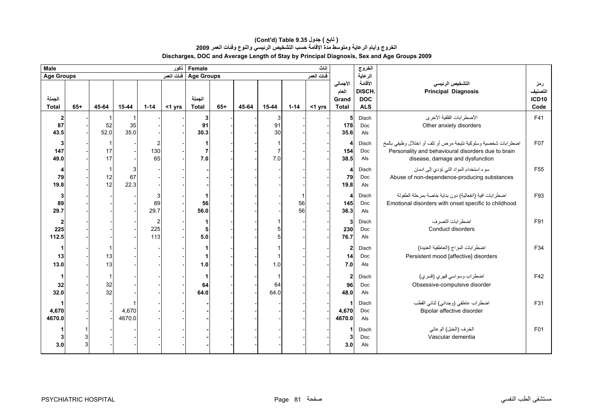#### **(Cont'd) Table 9.35 جدول ) تابع( الخروج وأيام الرعاية ومتوسط مدة الإقامة حسب التشخيص الرئيسي والنوع وفئات العمر <sup>2009</sup> Discharges, DOC and Average Length of Stay by Principal Diagnosis, Sex and Age Groups 2009**

| <b>Male</b>                             |       |                                      |                 |                              | ذكور   | Female<br>اناث         |       |       |               |               |           |                                            | الغروج                                        |                                                                                                                                                        |                                        |
|-----------------------------------------|-------|--------------------------------------|-----------------|------------------------------|--------|------------------------|-------|-------|---------------|---------------|-----------|--------------------------------------------|-----------------------------------------------|--------------------------------------------------------------------------------------------------------------------------------------------------------|----------------------------------------|
| <b>Age Groups</b>                       |       | فنات العمر<br>Age Groups فَنات العمر |                 |                              |        |                        |       |       | الرعاية       |               |           |                                            |                                               |                                                                                                                                                        |                                        |
| الجملة<br><b>Total</b>                  | $65+$ | 45-64                                | $15 - 44$       | $1 - 14$                     | <1 yrs | الجملة<br><b>Total</b> | $65+$ | 45-64 | $15 - 44$     | $1 - 14$      | $<$ 1 yrs | الأجمالي<br>العام<br>Grand<br><b>Total</b> | الأقامة<br>DISCH.<br><b>DOC</b><br><b>ALS</b> | التشخيص الرئيسي<br><b>Principal Diagnosis</b>                                                                                                          | رمز<br>التصنيف<br><b>ICD10</b><br>Code |
| $\mathbf{2}$<br>87<br>43.5              |       | 52<br>52.0                           | 35<br>35.0      |                              |        | 3<br>91<br>30.3        |       |       | 3<br>91<br>30 |               |           | 5<br>178<br>35.6                           | Disch<br>Doc<br>Als                           | الأضطرابات القلقية الأخرى<br>Other anxiety disorders                                                                                                   |                                        |
| 3<br>147<br>49.0                        |       | 17<br>17                             |                 | 130<br>65                    |        | 1<br>7<br>7.0          |       |       | 7.0           |               |           | Δ<br>154<br>38.5                           | Disch<br>Doc<br>Als                           | اضطرابات شخصية وسلوكية نتيجة مرض أو تلف أو اختلال وظيفي بالمخ<br>Personality and behavioural disorders due to brain<br>disease, damage and dysfunction | F07                                    |
| 4<br>79<br>19.8                         |       | $\mathbf{1}$<br>12<br>12             | 3<br>67<br>22.3 |                              |        |                        |       |       |               |               |           | 4<br>79<br>19.8                            | Disch<br>Doc<br>Als                           | سوء استخدام المواد التي نؤدي إلى ادمان<br>Abuse of non-dependence-producing substances                                                                 | F <sub>55</sub>                        |
| $\mathbf{3}$<br>89<br>29.7              |       |                                      |                 | 3<br>89<br>29.7              |        | 1<br>56<br>56.0        |       |       |               | 1<br>56<br>56 |           | 4<br>145<br>36.3                           | Disch<br>Doc<br>Als                           | اضطرابات افية (انفعالية) دون بداية خاصة بمرحلة الطفولة<br>Emotional disorders with onset specific to childhood                                         | F93                                    |
| $\overline{\mathbf{c}}$<br>225<br>112.5 |       |                                      |                 | $\overline{2}$<br>225<br>113 |        | 1<br>5<br>5.0          |       |       |               |               |           | 3<br>230<br>76.7                           | Disch<br>Doc<br>Als                           | اضطرابات التصرف<br>Conduct disorders                                                                                                                   | F91                                    |
| 13<br>13.0                              |       | 13<br>13                             |                 |                              |        | 1<br>1<br>1.0          |       |       | 1.0           |               |           | $\overline{2}$<br>14<br>7.0                | Disch<br>Doc<br>Als                           | اضطرابات المزاج (العاطفية العنيدة)<br>Persistent mood [affective] disorders                                                                            |                                        |
| 1<br>32<br>32.0                         |       | -1<br>32<br>32                       |                 |                              |        | 1<br>64<br>64.0        |       |       | 64<br>64.0    |               |           | $\mathbf{2}$<br>96<br>48.0                 | Disch<br>Doc<br>Als                           | اضطراب وسواسي قهري (قسري)<br>Obsessive-compulsive disorder                                                                                             |                                        |
| 4,670<br>4670.0                         |       |                                      | 4,670<br>4670.0 |                              |        |                        |       |       |               |               |           | 1<br>4,670<br>4670.0                       | Disch<br>Doc<br>Als                           | اضطراب عاطفي (وجداني) ثنائي القطب<br>Bipolar affective disorder                                                                                        | F31                                    |
| 3.0                                     | 3     |                                      |                 |                              |        |                        |       |       |               |               |           | 3.0                                        | Disch<br>Doc<br>Als                           | الخرف (الخبل) الوعائي<br>Vascular dementia                                                                                                             | F <sub>01</sub>                        |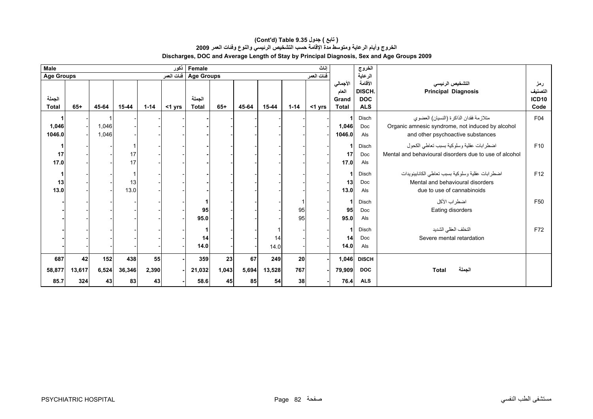#### **الخروج وأيام الرعاية ومتوسط مدة الإقامة حسب التشخيص الرئيسي والنوع وفئات العمر <sup>2009</sup> Discharges, DOC and Average Length of Stay by Principal Diagnosis, Sex and Age Groups 2009 (Cont'd) Table 9.35 جدول ) تابع(**

| <b>Male</b><br>Female<br>ذكور |                     |                    |                     |                   |        |                                        |                   |                   |                     | اناث            |           | الخروج                                     |                                                     |                                                                                                                                 |                                             |  |
|-------------------------------|---------------------|--------------------|---------------------|-------------------|--------|----------------------------------------|-------------------|-------------------|---------------------|-----------------|-----------|--------------------------------------------|-----------------------------------------------------|---------------------------------------------------------------------------------------------------------------------------------|---------------------------------------------|--|
| <b>Age Groups</b>             |                     |                    |                     |                   |        | فنات العمر<br>Age Groups فَنَاتَ العمر |                   |                   |                     |                 |           |                                            | الرعاية                                             |                                                                                                                                 |                                             |  |
| الجملة<br><b>Total</b>        | $65+$               | 45-64              | 15-44               | $1 - 14$          | <1 yrs | الجملة<br><b>Total</b>                 | $65+$             | 45-64             | 15-44               | $1 - 14$        | $<$ 1 yrs | الأجمالي<br>العام<br>Grand<br><b>Total</b> | الأقامة<br><b>DISCH</b><br><b>DOC</b><br><b>ALS</b> | التشخيص الرئيسى<br><b>Principal Diagnosis</b>                                                                                   | رمز<br>التصنيف<br>ICD <sub>10</sub><br>Code |  |
| 1,046<br>1046.0               |                     | 1,046<br>1,046     |                     |                   |        |                                        |                   |                   |                     |                 |           | 1<br>1,046<br>1046.0                       | Disch<br>Doc<br>Als                                 | متلازمة فقدان الذاكرة (النسيان) العضوي<br>Organic amnesic syndrome, not induced by alcohol<br>and other psychoactive substances | F04                                         |  |
| 17<br>17.0                    |                     |                    | 17<br>17            |                   |        |                                        |                   |                   |                     |                 |           | 17<br>17.0                                 | Disch<br>Doc<br>Als                                 | اضطرابات عقلية وسلوكية بسبب نعاطي الكحول<br>Mental and behavioural disorders due to use of alcohol                              | F <sub>10</sub>                             |  |
| 13<br>13.0                    |                     |                    | 13<br>13.0          |                   |        |                                        |                   |                   |                     |                 |           | 1<br>13<br>13.0                            | Disch<br>Doc<br>Als                                 | اضطرابات عقلية وسلوكية بسبب تعاطي الكانابينويدات<br>Mental and behavioural disorders<br>due to use of cannabinoids              | F <sub>12</sub>                             |  |
|                               |                     |                    |                     |                   |        | 95<br>95.0                             |                   |                   |                     | 95<br>95        |           | 1<br>95<br>95.0                            | Disch<br>Doc<br>Als                                 | اضطراب الأكل<br>Eating disorders                                                                                                |                                             |  |
|                               |                     |                    |                     |                   |        | 14<br>14.0                             |                   |                   | 14<br>14.0          |                 |           | 14<br>14.0                                 | Disch<br>Doc<br>Als                                 | التخلف العقلى الشديد<br>Severe mental retardation                                                                               |                                             |  |
| 687<br>58,877<br>85.7         | 42<br>13,617<br>324 | 152<br>6,524<br>43 | 438<br>36,346<br>83 | 55<br>2,390<br>43 |        | 359<br>21,032<br>58.6                  | 23<br>1,043<br>45 | 67<br>5,694<br>85 | 249<br>13,528<br>54 | 20<br>767<br>38 |           | 1,046<br>79,909<br>76.4                    | <b>DISCH</b><br><b>DOC</b><br><b>ALS</b>            | الجملة<br><b>Total</b>                                                                                                          |                                             |  |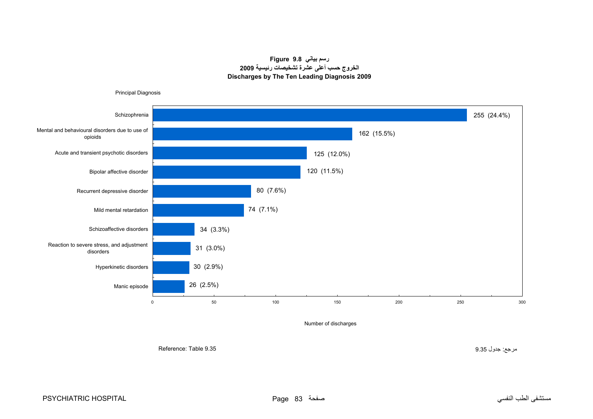# **رسم بياني 9.8 Figure الخروج حسب أعلى عشرة تشخيصات رئيسية <sup>2009</sup> Discharges by The Ten Leading Diagnosis 2009**

<span id="page-14-0"></span>